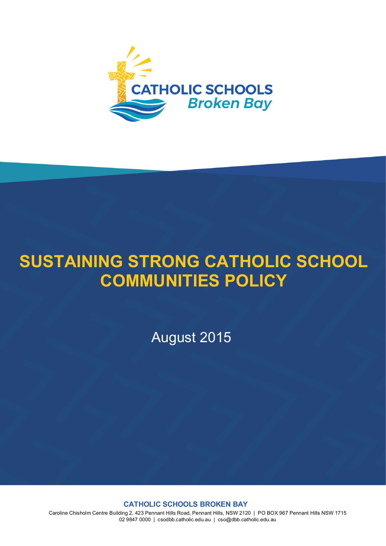

# **SUSTAINING STRONG CATHOLIC SCHOOL COMMUNITIES POLICY**

August 2015

**CATHOLIC SCHOOLS BROKEN BAY**

Caroline Chisholm Centre Building 2, 423 Pennant Hills Road, Pennant Hills, NSW 2120 | PO BOX 967 Pennant Hills NSW 1715 02 9847 0000 | csodbb.catholic.edu.au | cso@dbb.catholic.edu.au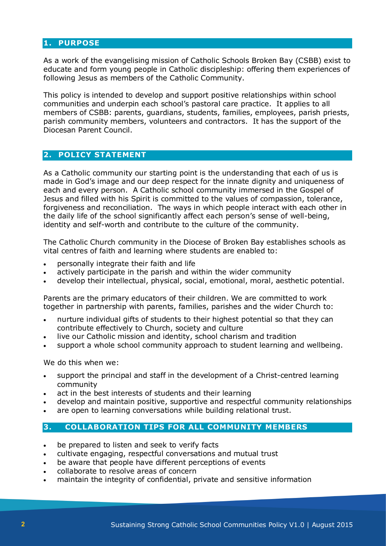## **1. PURPOSE**

As a work of the evangelising mission of Catholic Schools Broken Bay (CSBB) exist to educate and form young people in Catholic discipleship: offering them experiences of following Jesus as members of the Catholic Community.

This policy is intended to develop and support positive relationships within school communities and underpin each school's pastoral care practice. It applies to all members of CSBB: parents, guardians, students, families, employees, parish priests, parish community members, volunteers and contractors. It has the support of the Diocesan Parent Council.

## **2. POLICY STATEMENT**

As a Catholic community our starting point is the understanding that each of us is made in God's image and our deep respect for the innate dignity and uniqueness of each and every person. A Catholic school community immersed in the Gospel of Jesus and filled with his Spirit is committed to the values of compassion, tolerance, forgiveness and reconciliation. The ways in which people interact with each other in the daily life of the school significantly affect each person's sense of well-being, identity and self-worth and contribute to the culture of the community.

The Catholic Church community in the Diocese of Broken Bay establishes schools as vital centres of faith and learning where students are enabled to:

- personally integrate their faith and life
- actively participate in the parish and within the wider community
- develop their intellectual, physical, social, emotional, moral, aesthetic potential.

Parents are the primary educators of their children. We are committed to work together in partnership with parents, families, parishes and the wider Church to:

- nurture individual gifts of students to their highest potential so that they can contribute effectively to Church, society and culture
- live our Catholic mission and identity, school charism and tradition
- support a whole school community approach to student learning and wellbeing.

We do this when we:

- support the principal and staff in the development of a Christ-centred learning community
- act in the best interests of students and their learning
- develop and maintain positive, supportive and respectful community relationships
- are open to learning conversations while building relational trust.

## **3. COLLABORATION TIPS FOR ALL COMMUNITY MEMBERS**

- be prepared to listen and seek to verify facts
- cultivate engaging, respectful conversations and mutual trust
- be aware that people have different perceptions of events
- collaborate to resolve areas of concern
- maintain the integrity of confidential, private and sensitive information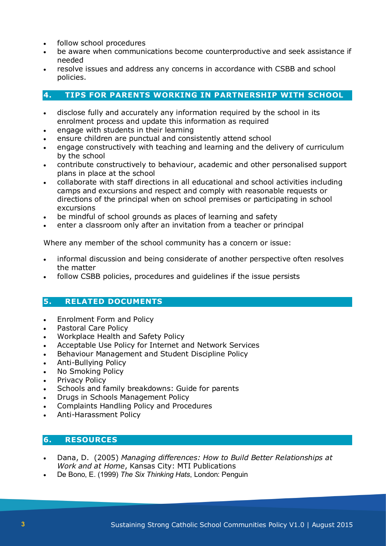- follow school procedures
- be aware when communications become counterproductive and seek assistance if needed
- resolve issues and address any concerns in accordance with CSBB and school policies.

# **4. TIPS FOR PARENTS WORKING IN PARTNERSHIP WITH SCHOOL**

- disclose fully and accurately any information required by the school in its enrolment process and update this information as required
- engage with students in their learning
- ensure children are punctual and consistently attend school
- engage constructively with teaching and learning and the delivery of curriculum by the school
- contribute constructively to behaviour, academic and other personalised support plans in place at the school
- collaborate with staff directions in all educational and school activities including camps and excursions and respect and comply with reasonable requests or directions of the principal when on school premises or participating in school excursions
- be mindful of school grounds as places of learning and safety
- enter a classroom only after an invitation from a teacher or principal

Where any member of the school community has a concern or issue:

- informal discussion and being considerate of another perspective often resolves the matter
- follow CSBB policies, procedures and guidelines if the issue persists

## **5. RELATED DOCUMENTS**

- Enrolment Form and Policy
- Pastoral Care Policy
- Workplace Health and Safety Policy
- Acceptable Use Policy for Internet and Network Services
- Behaviour Management and Student Discipline Policy
- Anti-Bullying Policy
- No Smoking Policy
- Privacy Policy
- Schools and family breakdowns: Guide for parents
- Drugs in Schools Management Policy
- Complaints Handling Policy and Procedures
- Anti-Harassment Policy

## **6. RESOURCES**

- Dana, D. (2005) *Managing differences: How to Build Better Relationships at Work and at Home*, Kansas City: MTI Publications
- De Bono, E. (1999) *The Six Thinking Hats*, London: Penguin